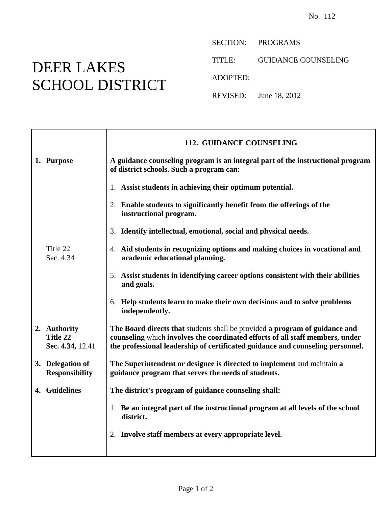## DEER LAKES SCHOOL DISTRICT

SECTION: PROGRAMS

TITLE: GUIDANCE COUNSELING

ADOPTED:

REVISED: June 18, 2012

|                                              | 112. GUIDANCE COUNSELING                                                                                                                                                                                                                       |
|----------------------------------------------|------------------------------------------------------------------------------------------------------------------------------------------------------------------------------------------------------------------------------------------------|
| 1. Purpose                                   | A guidance counseling program is an integral part of the instructional program<br>of district schools. Such a program can:                                                                                                                     |
|                                              | 1. Assist students in achieving their optimum potential.                                                                                                                                                                                       |
|                                              | 2. Enable students to significantly benefit from the offerings of the<br>instructional program.                                                                                                                                                |
|                                              | 3. Identify intellectual, emotional, social and physical needs.                                                                                                                                                                                |
| Title 22<br>Sec. 4.34                        | 4. Aid students in recognizing options and making choices in vocational and<br>academic educational planning.                                                                                                                                  |
|                                              | 5. Assist students in identifying career options consistent with their abilities<br>and goals.                                                                                                                                                 |
|                                              | 6. Help students learn to make their own decisions and to solve problems<br>independently.                                                                                                                                                     |
| 2. Authority<br>Title 22<br>Sec. 4.34, 12.41 | The Board directs that students shall be provided a program of guidance and<br>counseling which involves the coordinated efforts of all staff members, under<br>the professional leadership of certificated guidance and counseling personnel. |
| 3. Delegation of<br><b>Responsibility</b>    | The Superintendent or designee is directed to implement and maintain a<br>guidance program that serves the needs of students.                                                                                                                  |
| 4. Guidelines                                | The district's program of guidance counseling shall:                                                                                                                                                                                           |
|                                              | 1. Be an integral part of the instructional program at all levels of the school<br>district.                                                                                                                                                   |
|                                              | 2. Involve staff members at every appropriate level.                                                                                                                                                                                           |